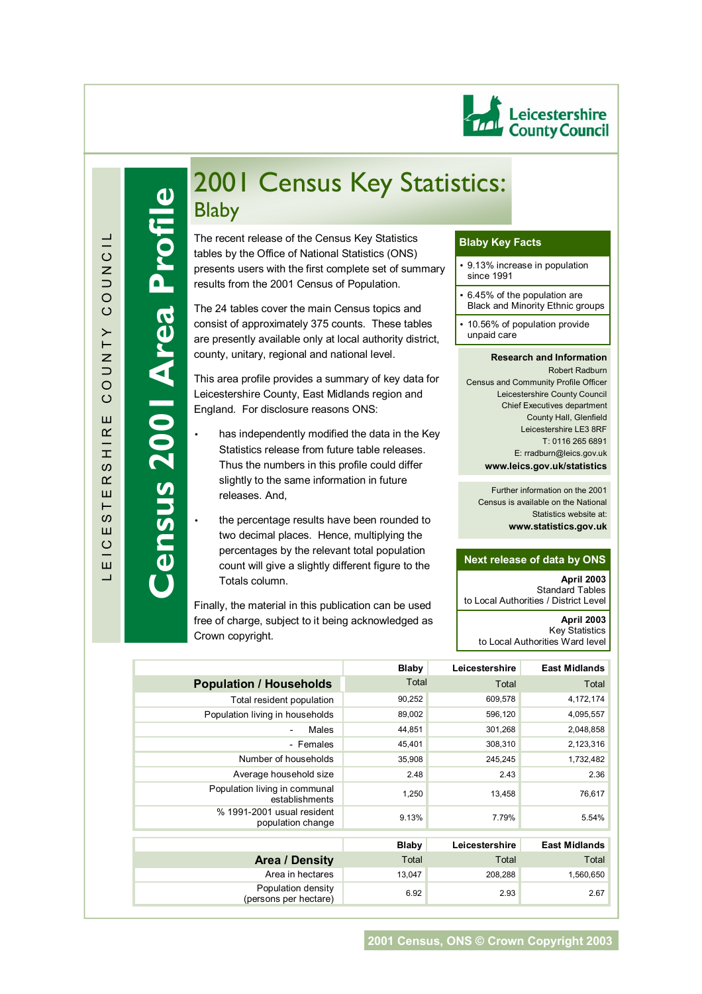

 $\Box$ 

**Census 2001 Area Profile**

ensus 2001 Area Pi

 $\frac{1}{\sqrt{2}}$ 

# 2001 Census Key Statistics: Blaby

tables by the Office of National Statistics (ONS)<br>presents users with the first complete set of summary The recent release of the Census Key Statistics tables by the Office of National Statistics (ONS) results from the 2001 Census of Population.

The 24 tables cover the main Census topics and consist of approximately 375 counts. These tables are presently available only at local authority district, county, unitary, regional and national level.

This area profile provides a summary of key data for Leicestershire County, East Midlands region and England. For disclosure reasons ONS:

- has independently modified the data in the Key Statistics release from future table releases. Thus the numbers in this profile could differ slightly to the same information in future releases. And,
- the percentage results have been rounded to two decimal places. Hence, multiplying the percentages by the relevant total population count will give a slightly different figure to the Totals column.

Finally, the material in this publication can be used free of charge, subject to it being acknowledged as Crown copyright.

# **Blaby Key Facts**

- 9.13% increase in population since 1991
- 6.45% of the population are Black and Minority Ethnic groups
- 10.56% of population provide unpaid care

#### **Research and Information**  Robert Radburn Census and Community Profile Officer Leicestershire County Council Chief Executives department County Hall, Glenfield Leicestershire LE3 8RF T: 0116 265 6891 E: rradburn@leics.gov.uk **www.leics.gov.uk/statistics**

Further information on the 2001 Census is available on the National Statistics website at: **www.statistics.gov.uk**

# **Next release of data by ONS**

**April 2003**  Standard Tables to Local Authorities / District Level **April 2003** Key Statistics to Local Authorities Ward level

|                                                 | Blaby  | Leicestershire | <b>East Midlands</b> |
|-------------------------------------------------|--------|----------------|----------------------|
| <b>Population / Households</b>                  | Total  | Total          | Total                |
| Total resident population                       | 90,252 | 609,578        | 4,172,174            |
| Population living in households                 | 89,002 | 596,120        | 4,095,557            |
| Males                                           | 44,851 | 301,268        | 2,048,858            |
| - Females                                       | 45,401 | 308,310        | 2,123,316            |
| Number of households                            | 35,908 | 245,245        | 1,732,482            |
| Average household size                          | 2.48   | 2.43           | 2.36                 |
| Population living in communal<br>establishments | 1,250  | 13,458         | 76,617               |
| % 1991-2001 usual resident<br>population change | 9.13%  | 7.79%          | 5.54%                |
|                                                 | Blaby  | Leicestershire | <b>East Midlands</b> |
|                                                 |        |                |                      |
| <b>Area / Density</b>                           | Total  | Total          | Total                |
| Area in hectares                                | 13,047 | 208,288        | 1,560,650            |
| Population density<br>(persons per hectare)     | 6.92   | 2.93           | 2.67                 |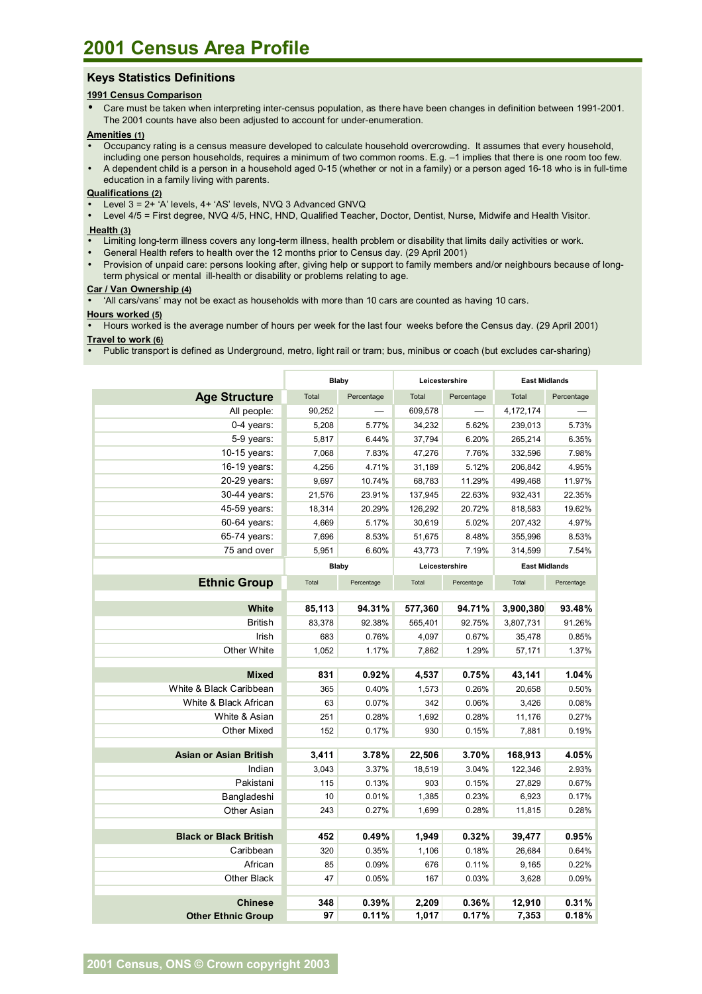# **Keys Statistics Definitions**

## **1991 Census Comparison**

• Care must be taken when interpreting inter-census population, as there have been changes in definition between 1991-2001. The 2001 counts have also been adjusted to account for under-enumeration.

#### **Amenities (1)**

- Occupancy rating is a census measure developed to calculate household overcrowding. It assumes that every household, including one person households, requires a minimum of two common rooms. E.g. -1 implies that there is one room too few.
- A dependent child is a person in a household aged 0-15 (whether or not in a family) or a person aged 16-18 who is in full-time education in a family living with parents.

# **Qualifications (2)**

- Level 3 = 2+ 'A' levels, 4+ 'AS' levels, NVQ 3 Advanced GNVQ
- Level 4/5 = First degree, NVQ 4/5, HNC, HND, Qualified Teacher, Doctor, Dentist, Nurse, Midwife and Health Visitor.

#### **Health (3)**

- Limiting long-term illness covers any long-term illness, health problem or disability that limits daily activities or work.
- General Health refers to health over the 12 months prior to Census day. (29 April 2001)
- Provision of unpaid care: persons looking after, giving help or support to family members and/or neighbours because of longterm physical or mental ill-health or disability or problems relating to age.

### **Car / Van Ownership (4)**

• ëAll cars/vansí may not be exact as households with more than 10 cars are counted as having 10 cars.

#### **Hours worked (5)**

• Hours worked is the average number of hours per week for the last four weeks before the Census day. (29 April 2001)

# **Travel to work (6)**

• Public transport is defined as Underground, metro, light rail or tram; bus, minibus or coach (but excludes car-sharing)

|                               | Blaby        |            | Leicestershire |            | <b>East Midlands</b> |            |
|-------------------------------|--------------|------------|----------------|------------|----------------------|------------|
| <b>Age Structure</b>          | Total        | Percentage | Total          | Percentage | Total                | Percentage |
| All people:                   | 90,252       |            | 609,578        |            | 4,172,174            |            |
| 0-4 years:                    | 5,208        | 5.77%      | 34,232         | 5.62%      | 239,013              | 5.73%      |
| 5-9 years:                    | 5,817        | 6.44%      | 37,794         | 6.20%      | 265,214              | 6.35%      |
| 10-15 years:                  | 7,068        | 7.83%      | 47,276         | 7.76%      | 332,596              | 7.98%      |
| 16-19 years:                  | 4,256        | 4.71%      | 31,189         | 5.12%      | 206,842              | 4.95%      |
| 20-29 years:                  | 9,697        | 10.74%     | 68,783         | 11.29%     | 499,468              | 11.97%     |
| 30-44 years:                  | 21,576       | 23.91%     | 137,945        | 22.63%     | 932,431              | 22.35%     |
| 45-59 years:                  | 18,314       | 20.29%     | 126,292        | 20.72%     | 818,583              | 19.62%     |
| 60-64 years:                  | 4,669        | 5.17%      | 30,619         | 5.02%      | 207,432              | 4.97%      |
| 65-74 years:                  | 7,696        | 8.53%      | 51,675         | 8.48%      | 355,996              | 8.53%      |
| 75 and over                   | 5,951        | 6.60%      | 43,773         | 7.19%      | 314,599              | 7.54%      |
|                               | <b>Blaby</b> |            | Leicestershire |            | <b>East Midlands</b> |            |
| <b>Ethnic Group</b>           | Total        | Percentage | Total          | Percentage | Total                | Percentage |
|                               |              |            |                |            |                      |            |
| White                         | 85,113       | 94.31%     | 577,360        | 94.71%     | 3,900,380            | 93.48%     |
| <b>British</b>                | 83,378       | 92.38%     | 565,401        | 92.75%     | 3,807,731            | 91.26%     |
| Irish                         | 683          | 0.76%      | 4,097          | 0.67%      | 35,478               | 0.85%      |
| Other White                   | 1,052        | 1.17%      | 7,862          | 1.29%      | 57,171               | 1.37%      |
|                               |              |            |                |            |                      |            |
| <b>Mixed</b>                  | 831          | 0.92%      | 4,537          | 0.75%      | 43,141               | 1.04%      |
| White & Black Caribbean       | 365          | 0.40%      | 1,573          | 0.26%      | 20,658               | 0.50%      |
| White & Black African         | 63           | 0.07%      | 342            | 0.06%      | 3,426                | 0.08%      |
| White & Asian                 | 251          | 0.28%      | 1,692          | 0.28%      | 11,176               | 0.27%      |
| Other Mixed                   | 152          | 0.17%      | 930            | 0.15%      | 7,881                | 0.19%      |
| <b>Asian or Asian British</b> | 3,411        | 3.78%      | 22,506         | 3.70%      | 168,913              | 4.05%      |
| Indian                        | 3,043        | 3.37%      | 18,519         | 3.04%      | 122,346              | 2.93%      |
| Pakistani                     | 115          | 0.13%      | 903            | 0.15%      | 27,829               | 0.67%      |
| Bangladeshi                   | 10           | 0.01%      | 1,385          | 0.23%      | 6,923                | 0.17%      |
| <b>Other Asian</b>            | 243          | 0.27%      | 1,699          | 0.28%      | 11,815               | 0.28%      |
|                               |              |            |                |            |                      |            |
| <b>Black or Black British</b> | 452          | 0.49%      | 1,949          | 0.32%      | 39,477               | 0.95%      |
| Caribbean                     | 320          | 0.35%      | 1,106          | 0.18%      | 26,684               | 0.64%      |
| African                       | 85           | 0.09%      | 676            | 0.11%      | 9,165                | 0.22%      |
| Other Black                   | 47           | 0.05%      | 167            | 0.03%      | 3,628                | 0.09%      |
|                               |              |            |                |            |                      |            |
| <b>Chinese</b>                | 348          | 0.39%      | 2,209          | 0.36%      | 12,910               | 0.31%      |
| <b>Other Ethnic Group</b>     | 97           | 0.11%      | 1,017          | $0.17\%$   | 7,353                | 0.18%      |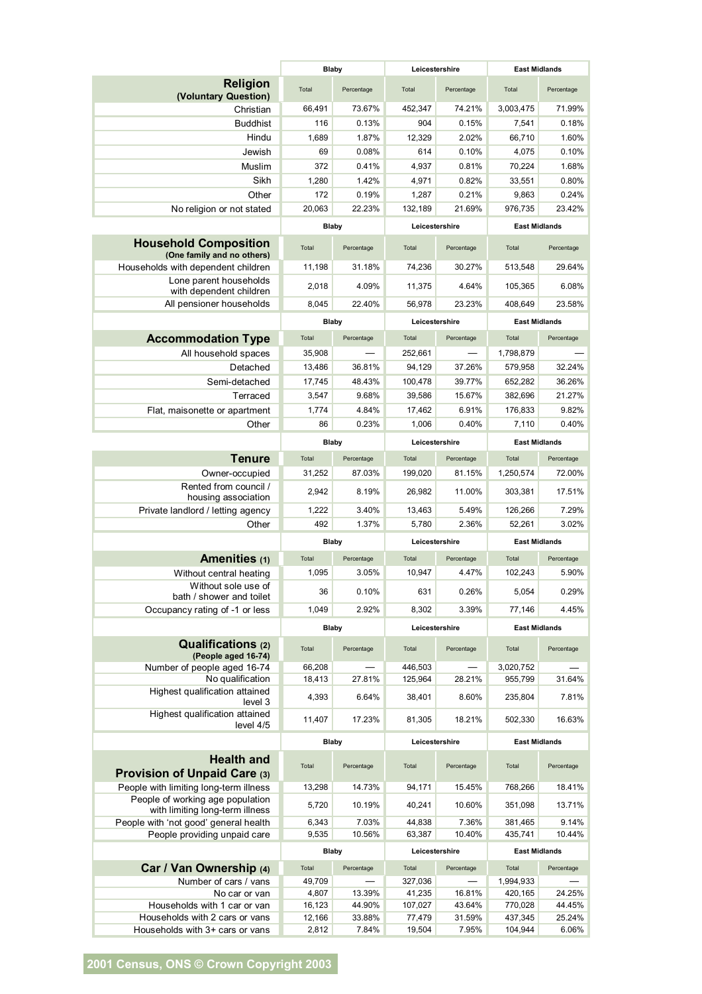|                                                                     | <b>Blaby</b>    |                 | Leicestershire   |                 | <b>East Midlands</b> |                      |  |
|---------------------------------------------------------------------|-----------------|-----------------|------------------|-----------------|----------------------|----------------------|--|
| <b>Religion</b><br>(Voluntary Question)                             | Total           | Percentage      | Total            | Percentage      | Total                | Percentage           |  |
| Christian                                                           | 66,491          | 73.67%          | 452,347          | 74.21%          | 3,003,475            | 71.99%               |  |
| <b>Buddhist</b>                                                     | 116             | 0.13%           | 904              | 0.15%           | 7,541                | 0.18%                |  |
| Hindu                                                               | 1,689           | 1.87%           | 12,329           | 2.02%           | 66,710               | 1.60%                |  |
| Jewish                                                              | 69              | 0.08%           | 614              | 0.10%           | 4,075                | 0.10%                |  |
| Muslim                                                              | 372             | 0.41%           | 4,937            | 0.81%           | 70,224               | 1.68%                |  |
| Sikh                                                                | 1,280           | 1.42%           | 4,971            | 0.82%           | 33,551               | 0.80%                |  |
| Other                                                               | 172             | 0.19%           | 1,287            | 0.21%           | 9,863                | 0.24%                |  |
| No religion or not stated                                           | 20,063          | 22.23%          | 132,189          | 21.69%          | 976,735              | 23.42%               |  |
|                                                                     | <b>Blaby</b>    |                 | Leicestershire   |                 | <b>East Midlands</b> |                      |  |
| <b>Household Composition</b><br>(One family and no others)          | Total           | Percentage      | Total            | Percentage      | Total                | Percentage           |  |
| Households with dependent children                                  | 11,198          | 31.18%          | 74,236           | 30.27%          | 513,548              | 29.64%               |  |
| Lone parent households                                              | 2,018           | 4.09%           | 11,375           | 4.64%           | 105,365              | 6.08%                |  |
| with dependent children                                             |                 | 22.40%          |                  |                 |                      | 23.58%               |  |
| All pensioner households                                            | 8,045           |                 | 56,978           | 23.23%          | 408,649              |                      |  |
|                                                                     | <b>Blaby</b>    |                 |                  | Leicestershire  |                      | <b>East Midlands</b> |  |
| <b>Accommodation Type</b>                                           | Total           | Percentage      | Total            | Percentage      | Total                | Percentage           |  |
| All household spaces                                                | 35,908          |                 | 252,661          |                 | 1,798,879            |                      |  |
| Detached                                                            | 13,486          | 36.81%          | 94,129           | 37.26%          | 579,958              | 32.24%               |  |
| Semi-detached                                                       | 17,745          | 48.43%          | 100,478          | 39.77%          | 652,282              | 36.26%               |  |
| Terraced                                                            | 3,547           | 9.68%           | 39,586           | 15.67%          | 382,696              | 21.27%               |  |
| Flat, maisonette or apartment                                       | 1,774           | 4.84%           | 17,462           | 6.91%           | 176,833              | 9.82%                |  |
| Other                                                               | 86              | 0.23%           | 1,006            | 0.40%           | 7,110                | 0.40%                |  |
|                                                                     | <b>Blaby</b>    |                 |                  | Leicestershire  |                      | <b>East Midlands</b> |  |
| <b>Tenure</b>                                                       | Total           | Percentage      | Total            | Percentage      | Total                | Percentage           |  |
| Owner-occupied                                                      | 31,252          | 87.03%          | 199,020          | 81.15%          | 1,250,574            | 72.00%               |  |
| Rented from council /<br>housing association                        | 2,942           | 8.19%           | 26,982           | 11.00%          | 303,381              | 17.51%               |  |
| Private landlord / letting agency                                   | 1,222           | 3.40%           | 13,463           | 5.49%           | 126,266              | 7.29%                |  |
| Other                                                               | 492             | 1.37%           | 5,780            | 2.36%           | 52.261               | 3.02%                |  |
|                                                                     | <b>Blaby</b>    |                 | Leicestershire   |                 | <b>East Midlands</b> |                      |  |
| Amenities (1)                                                       | Total           | Percentage      | Total            | Percentage      | Total                | Percentage           |  |
| Without central heating                                             | 1,095           | 3.05%           | 10,947           | 4.47%           | 102,243              | 5.90%                |  |
| Without sole use of<br>bath / shower and toilet                     | 36              | 0.10%           | 631              | 0.26%           | 5,054                | 0.29%                |  |
| Occupancy rating of -1 or less                                      | 1.049           | 2.92%           | 8,302            | 3.39%           | 77,146               | 4.45%                |  |
|                                                                     | <b>Blaby</b>    |                 | Leicestershire   |                 | <b>East Midlands</b> |                      |  |
| <b>Qualifications (2)</b><br>(People aged 16-74)                    | Total           | Percentage      | Total            | Percentage      | Total                | Percentage           |  |
| Number of people aged 16-74                                         | 66,208          |                 | 446,503          |                 | 3,020,752            |                      |  |
| No qualification                                                    | 18,413          | 27.81%          | 125,964          | 28.21%          | 955,799              | 31.64%               |  |
| Highest qualification attained<br>level 3                           | 4,393           | 6.64%           | 38,401           | 8.60%           | 235,804              | 7.81%                |  |
| Highest qualification attained<br>level 4/5                         | 11,407          | 17.23%          | 81,305           | 18.21%          | 502,330              | 16.63%               |  |
|                                                                     | <b>Blaby</b>    |                 | Leicestershire   |                 | <b>East Midlands</b> |                      |  |
| <b>Health and</b>                                                   | Total           |                 | Total            |                 | Total                | Percentage           |  |
| Provision of Unpaid Care (3)                                        |                 | Percentage      |                  | Percentage      |                      |                      |  |
| People with limiting long-term illness                              | 13,298          | 14.73%          | 94,171           | 15.45%          | 768,266              | 18.41%               |  |
| People of working age population<br>with limiting long-term illness | 5,720           | 10.19%          | 40,241           | 10.60%          | 351,098              | 13.71%               |  |
| People with 'not good' general health                               | 6,343           | 7.03%           | 44,838           | 7.36%           | 381,465              | 9.14%                |  |
| People providing unpaid care                                        | 9,535           | 10.56%          | 63,387           | 10.40%          | 435,741              | 10.44%               |  |
|                                                                     | <b>Blaby</b>    |                 | Leicestershire   |                 | <b>East Midlands</b> |                      |  |
| Car / Van Ownership (4)                                             | Total           | Percentage      | Total            | Percentage      | Total                | Percentage           |  |
| Number of cars / vans                                               | 49,709          |                 | 327,036          |                 | 1,994,933            |                      |  |
| No car or van                                                       | 4,807           | 13.39%          | 41,235           | 16.81%          | 420,165              | 24.25%               |  |
| Households with 1 car or van                                        | 16,123          | 44.90%          | 107,027          | 43.64%          | 770,028              | 44.45%               |  |
| Households with 2 cars or vans<br>Households with 3+ cars or vans   | 12,166<br>2,812 | 33.88%<br>7.84% | 77,479<br>19,504 | 31.59%<br>7.95% | 437,345<br>104,944   | 25.24%<br>6.06%      |  |
|                                                                     |                 |                 |                  |                 |                      |                      |  |